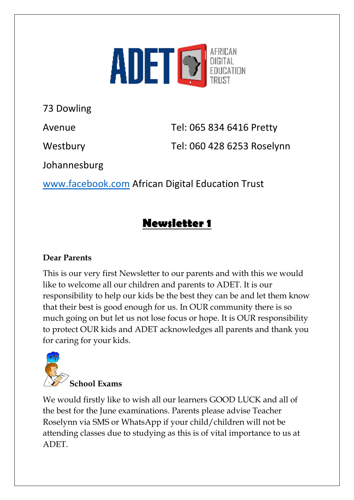

73 Dowling

Avenue Tel: 065 834 6416 Pretty

Westbury Tel: 060 428 6253 Roselynn

Johannesburg

[www.facebook.com](http://www.facebook.com/) African Digital Education Trust

### **Newsletter 1**

#### **Dear Parents**

This is our very first Newsletter to our parents and with this we would like to welcome all our children and parents to ADET. It is our responsibility to help our kids be the best they can be and let them know that their best is good enough for us. In OUR community there is so much going on but let us not lose focus or hope. It is OUR responsibility to protect OUR kids and ADET acknowledges all parents and thank you for caring for your kids.



We would firstly like to wish all our learners GOOD LUCK and all of the best for the June examinations. Parents please advise Teacher Roselynn via SMS or WhatsApp if your child/children will not be attending classes due to studying as this is of vital importance to us at ADET.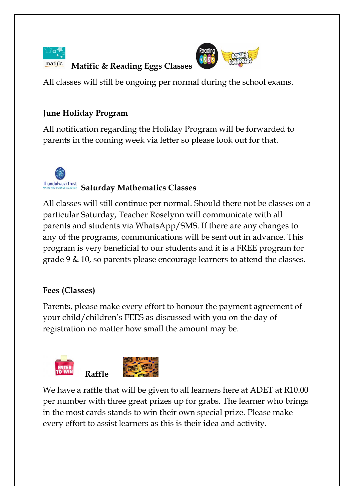

 **Matific & Reading Eggs Classes**



All classes will still be ongoing per normal during the school exams.

#### **June Holiday Program**

All notification regarding the Holiday Program will be forwarded to parents in the coming week via letter so please look out for that.

# **Thandulwazi Trust** Saturday Mathematics Classes

All classes will still continue per normal. Should there not be classes on a particular Saturday, Teacher Roselynn will communicate with all parents and students via WhatsApp/SMS. If there are any changes to any of the programs, communications will be sent out in advance. This program is very beneficial to our students and it is a FREE program for grade 9 & 10, so parents please encourage learners to attend the classes.

#### **Fees (Classes)**

Parents, please make every effort to honour the payment agreement of your child/children's FEES as discussed with you on the day of registration no matter how small the amount may be.



We have a raffle that will be given to all learners here at ADET at R10.00 per number with three great prizes up for grabs. The learner who brings in the most cards stands to win their own special prize. Please make every effort to assist learners as this is their idea and activity.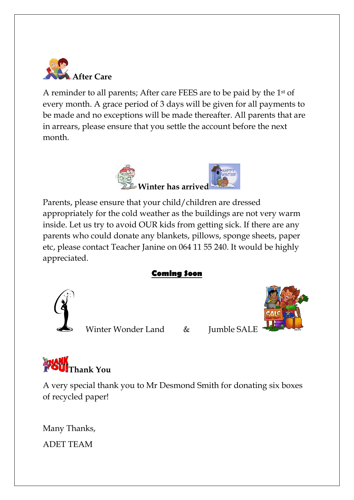

A reminder to all parents; After care FEES are to be paid by the 1st of every month. A grace period of 3 days will be given for all payments to be made and no exceptions will be made thereafter. All parents that are in arrears, please ensure that you settle the account before the next month.



Parents, please ensure that your child/children are dressed appropriately for the cold weather as the buildings are not very warm inside. Let us try to avoid OUR kids from getting sick. If there are any parents who could donate any blankets, pillows, sponge sheets, paper etc, please contact Teacher Janine on 064 11 55 240. It would be highly appreciated.

#### **Coming Soon**



Winter Wonder Land & Jumble SALE



A very special thank you to Mr Desmond Smith for donating six boxes of recycled paper!

Many Thanks, ADET TEAM